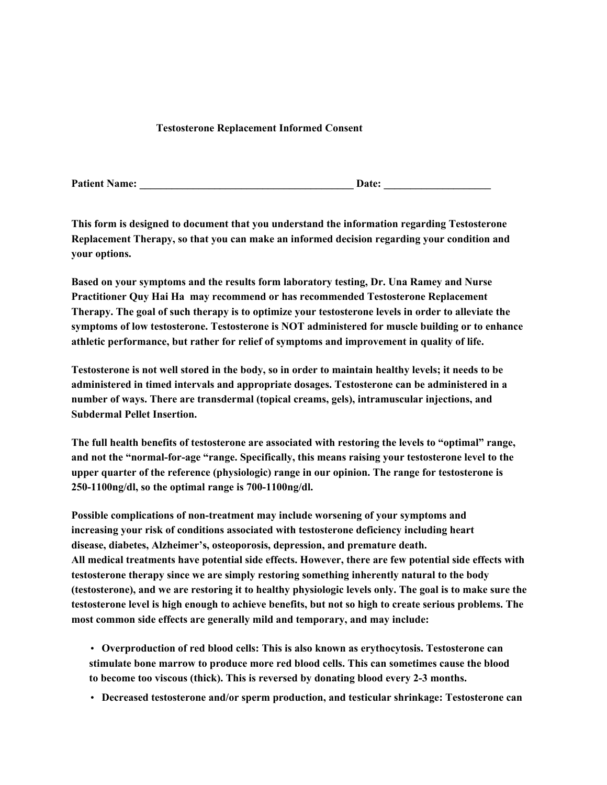## **Testosterone Replacement Informed Consent**

**Patient Name: \_\_\_\_\_\_\_\_\_\_\_\_\_\_\_\_\_\_\_\_\_\_\_\_\_\_\_\_\_\_\_\_\_\_\_\_\_\_\_\_ Date: \_\_\_\_\_\_\_\_\_\_\_\_\_\_\_\_\_\_\_\_**

**This form is designed to document that you understand the information regarding Testosterone Replacement Therapy, so that you can make an informed decision regarding your condition and your options.**

**Based on your symptoms and the results form laboratory testing, Dr. Una Ramey and Nurse Practitioner Quy Hai Ha may recommend or has recommended Testosterone Replacement Therapy. The goal of such therapy is to optimize your testosterone levels in order to alleviate the symptoms of low testosterone. Testosterone is NOT administered for muscle building or to enhance athletic performance, but rather for relief of symptoms and improvement in quality of life.**

Testosterone is not well stored in the body, so in order to maintain healthy levels; it needs to be **administered in timed intervals and appropriate dosages. Testosterone can be administered in a number of ways. There are transdermal (topical creams, gels), intramuscular injections, and Subdermal Pellet Insertion.**

**The full health benefits of testosterone are associated with restoring the levels to "optimal" range, and not the "normal-for-age "range. Specifically, this means raising your testosterone level to the upper quarter of the reference (physiologic) range in our opinion. The range for testosterone is 250-1100ng/dl, so the optimal range is 700-1100ng/dl.**

**Possible complications of non-treatment may include worsening of your symptoms and increasing your risk of conditions associated with testosterone deficiency including heart disease, diabetes, Alzheimer's, osteoporosis, depression, and premature death. All medical treatments have potential side effects. However, there are few potential side effects with testosterone therapy since we are simply restoring something inherently natural to the body** (testosterone), and we are restoring it to healthy physiologic levels only. The goal is to make sure the **testosterone level is high enough to achieve benefits, but not so high to create serious problems. The most common side effects are generally mild and temporary, and may include:**

• **Overproduction of red blood cells: This is also known as erythocytosis. Testosterone can stimulate bone marrow to produce more red blood cells. This can sometimes cause the blood to become too viscous (thick). This is reversed by donating blood every 2-3 months.**

• **Decreased testosterone and/or sperm production, and testicular shrinkage: Testosterone can**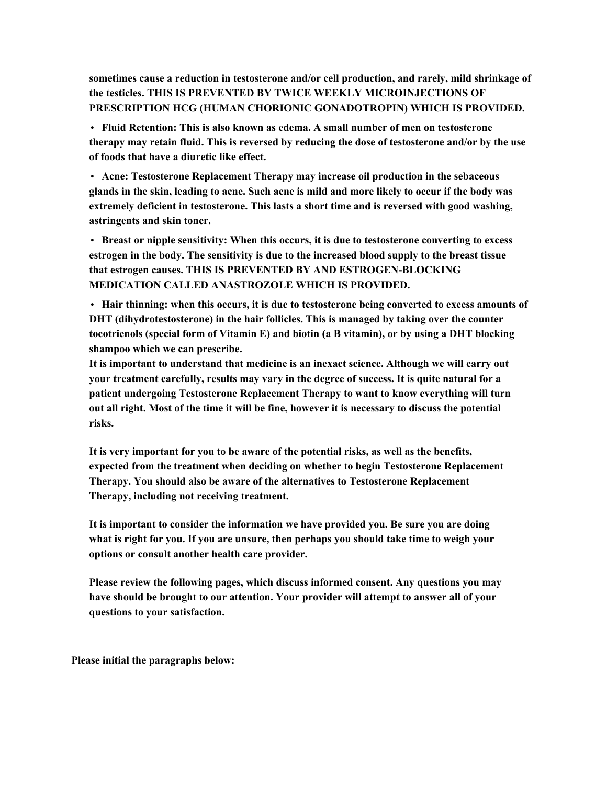**sometimes cause a reduction in testosterone and/or cell production, and rarely, mild shrinkage of the testicles. THIS IS PREVENTED BY TWICE WEEKLY MICROINJECTIONS OF PRESCRIPTION HCG (HUMAN CHORIONIC GONADOTROPIN) WHICH IS PROVIDED.**

• **Fluid Retention: This is also known as edema. A small number of men on testosterone therapy may retain fluid. This is reversed by reducing the dose of testosterone and/or by the use of foods that have a diuretic like effect.**

• **Acne: Testosterone Replacement Therapy may increase oil production in the sebaceous** glands in the skin, leading to acne. Such acne is mild and more likely to occur if the body was **extremely deficient in testosterone. This lasts a short time and is reversed with good washing, astringents and skin toner.**

• **Breast or nipple sensitivity: When this occurs, it is due to testosterone converting to excess estrogen in the body. The sensitivity is due to the increased blood supply to the breast tissue that estrogen causes. THIS IS PREVENTED BY AND ESTROGEN-BLOCKING MEDICATION CALLED ANASTROZOLE WHICH IS PROVIDED.**

• **Hair thinning: when this occurs, it is due to testosterone being converted to excess amounts of DHT (dihydrotestosterone) in the hair follicles. This is managed by taking over the counter tocotrienols (special form of Vitamin E) and biotin (a B vitamin), or by using a DHT blocking shampoo which we can prescribe.**

**It is important to understand that medicine is an inexact science. Although we will carry out your treatment carefully, results may vary in the degree of success. It is quite natural for a patient undergoing Testosterone Replacement Therapy to want to know everything will turn** out all right. Most of the time it will be fine, however it is necessary to discuss the potential **risks.**

**It is very important for you to be aware of the potential risks, as well as the benefits, expected from the treatment when deciding on whether to begin Testosterone Replacement Therapy. You should also be aware of the alternatives to Testosterone Replacement Therapy, including not receiving treatment.**

**It is important to consider the information we have provided you. Be sure you are doing what is right for you. If you are unsure, then perhaps you should take time to weigh your options or consult another health care provider.**

**Please review the following pages, which discuss informed consent. Any questions you may have should be brought to our attention. Your provider will attempt to answer all of your questions to your satisfaction.**

**Please initial the paragraphs below:**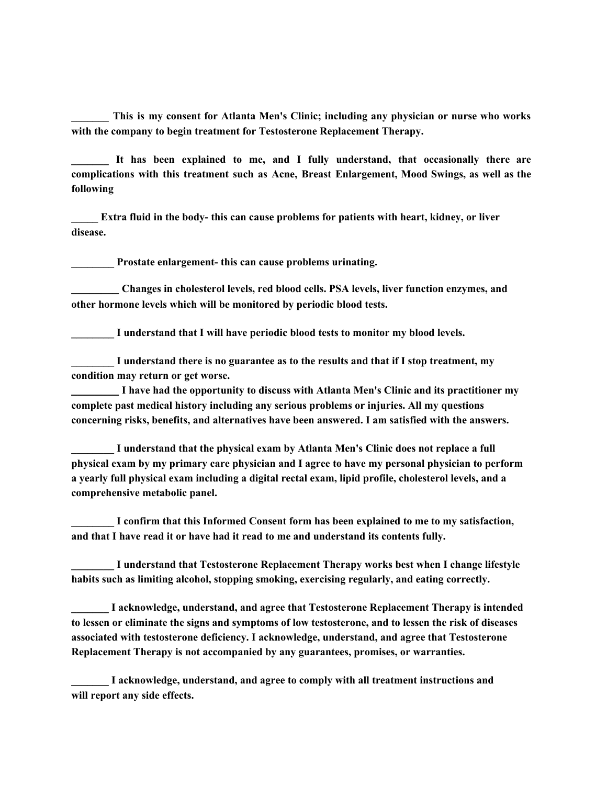**\_\_\_\_\_\_\_ This is my consent for Atlanta Men's Clinic; including any physician or nurse who works with the company to begin treatment for Testosterone Replacement Therapy.**

**\_\_\_\_\_\_\_ It has been explained to me, and I fully understand, that occasionally there are complications with this treatment such as Acne, Breast Enlargement, Mood Swings, as well as the following**

**\_\_\_\_\_ Extra fluid in the body- this can cause problems for patients with heart, kidney, or liver disease.**

**\_\_\_\_\_\_\_\_ Prostate enlargement- this can cause problems urinating.**

**\_\_\_\_\_\_\_\_ Changes in cholesterol levels, red blood cells. PSA levels, liver function enzymes, and other hormone levels which will be monitored by periodic blood tests.**

**\_\_\_\_\_\_\_\_ I understand that I will have periodic blood tests to monitor my blood levels.**

**\_\_\_\_\_\_\_\_ I understand there is no guarantee as to the results and that if I stop treatment, my condition may return or get worse.**

**\_\_\_\_\_\_\_\_ I have had the opportunity to discuss with Atlanta Men's Clinic and its practitioner my complete past medical history including any serious problems or injuries. All my questions concerning risks, benefits, and alternatives have been answered. I am satisfied with the answers.**

**\_\_\_\_\_\_\_\_ I understand that the physical exam by Atlanta Men's Clinic does not replace a full physical exam by my primary care physician and I agree to have my personal physician to perform a yearly full physical exam including a digital rectal exam, lipid profile, cholesterol levels, and a comprehensive metabolic panel.**

**\_\_\_\_\_\_\_\_ I confirm that this Informed Consent form has been explained to me to my satisfaction, and that I have read it or have had it read to me and understand its contents fully.**

**\_\_\_\_\_\_\_\_ I understand that Testosterone Replacement Therapy works best when I change lifestyle habits such as limiting alcohol, stopping smoking, exercising regularly, and eating correctly.**

**\_\_\_\_\_\_\_ I acknowledge, understand, and agree that Testosterone Replacement Therapy is intended** to lessen or eliminate the signs and symptoms of low testosterone, and to lessen the risk of diseases **associated with testosterone deficiency. I acknowledge, understand, and agree that Testosterone Replacement Therapy is not accompanied by any guarantees, promises, or warranties.**

**\_\_\_\_\_\_\_ I acknowledge, understand, and agree to comply with all treatment instructions and will report any side effects.**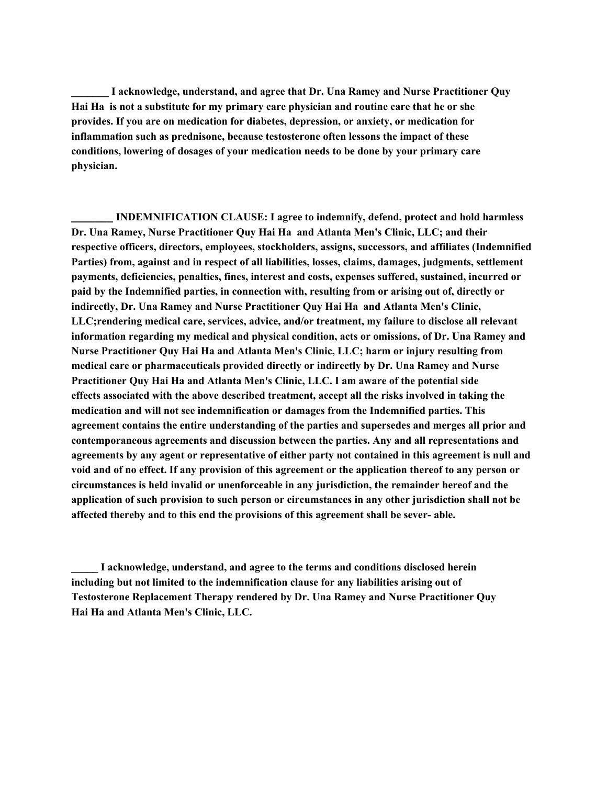**\_\_\_\_\_\_\_ I acknowledge, understand, and agree that Dr. Una Ramey and Nurse Practitioner Quy Hai Ha is not a substitute for my primary care physician and routine care that he or she provides. If you are on medication for diabetes, depression, or anxiety, or medication for inflammation such as prednisone, because testosterone often lessons the impact of these conditions, lowering of dosages of your medication needs to be done by your primary care physician.**

**\_\_\_\_\_\_\_ INDEMNIFICATION CLAUSE: I agree to indemnify, defend, protect and hold harmless Dr. Una Ramey, Nurse Practitioner Quy Hai Ha and Atlanta Men's Clinic, LLC; and their respective officers, directors, employees, stockholders, assigns, successors, and affiliates (Indemnified Parties) from, against and in respect of all liabilities, losses, claims, damages, judgments, settlement payments, deficiencies, penalties, fines, interest and costs, expenses suffered, sustained, incurred or paid by the Indemnified parties, in connection with, resulting from or arising out of, directly or indirectly, Dr. Una Ramey and Nurse Practitioner Quy Hai Ha and Atlanta Men's Clinic, LLC;rendering medical care, services, advice, and/or treatment, my failure to disclose all relevant information regarding my medical and physical condition, acts or omissions, of Dr. Una Ramey and Nurse Practitioner Quy Hai Ha and Atlanta Men's Clinic, LLC; harm or injury resulting from medical care or pharmaceuticals provided directly or indirectly by Dr. Una Ramey and Nurse Practitioner Quy Hai Ha and Atlanta Men's Clinic, LLC. I am aware of the potential side effects associated with the above described treatment, accept all the risks involved in taking the medication and will not see indemnification or damages from the Indemnified parties. This agreement contains the entire understanding of the parties and supersedes and merges all prior and contemporaneous agreements and discussion between the parties. Any and all representations and agreements by any agent or representative of either party not contained in this agreement is null and** void and of no effect. If any provision of this agreement or the application thereof to any person or **circumstances is held invalid or unenforceable in any jurisdiction, the remainder hereof and the application of such provision to such person or circumstances in any other jurisdiction shall not be affected thereby and to this end the provisions of this agreement shall be sever- able.**

**\_\_\_\_\_ I acknowledge, understand, and agree to the terms and conditions disclosed herein including but not limited to the indemnification clause for any liabilities arising out of Testosterone Replacement Therapy rendered by Dr. Una Ramey and Nurse Practitioner Quy Hai Ha and Atlanta Men's Clinic, LLC.**